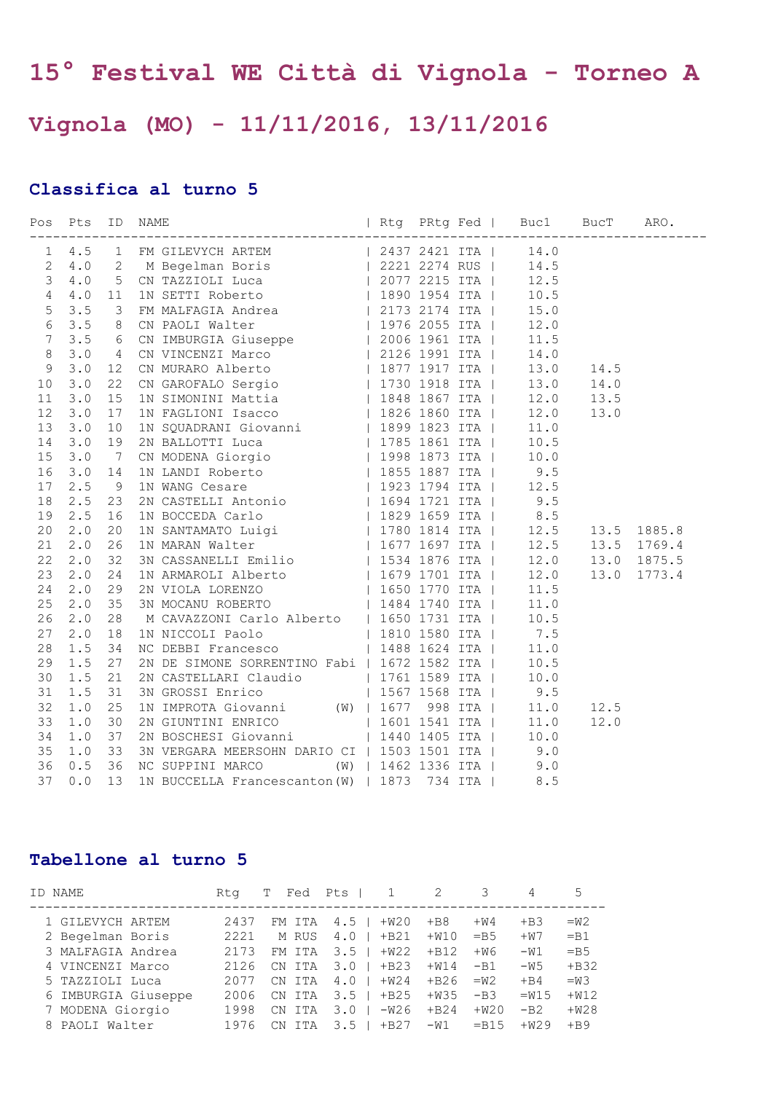## **15° Festival WE Città di Vignola - Torneo A**

## **Vignola (MO) - 11/11/2016, 13/11/2016**

## **Classifica al turno 5**

|    |       |    |                                                                                                                                                                                                                                        | $\begin{tabular}{@{}c@{}}\textbf{P4} & $\mathbb{R}0$ & $\mathbb{R}0$ & $\mathbb{R}0$ & $\mathbb{R}0$ & $\mathbb{R}0$ & $\mathbb{R}0$ \\ \hline 1 & $\mathbb{R}0$ & $\mathbb{R}0$ & $\mathbb{R}0$ & $\mathbb{R}0$ \\ \hline 2 & $4.0$ & $2$ & $\mathbb{R}$ & $\mathbb{R}0$ & $\mathbb{R}1$ & $\mathbb{R}0$ \\ \hline 3 & $4.0$ & $1$ & $\mathbb{R}0$ & $\mathbb{R}0$ & $\mathbb{R}1$ & $1$ & $1$ & $1$$ |  |
|----|-------|----|----------------------------------------------------------------------------------------------------------------------------------------------------------------------------------------------------------------------------------------|--------------------------------------------------------------------------------------------------------------------------------------------------------------------------------------------------------------------------------------------------------------------------------------------------------------------------------------------------------------------------------------------------------|--|
|    |       |    |                                                                                                                                                                                                                                        |                                                                                                                                                                                                                                                                                                                                                                                                        |  |
|    |       |    |                                                                                                                                                                                                                                        |                                                                                                                                                                                                                                                                                                                                                                                                        |  |
|    |       |    |                                                                                                                                                                                                                                        |                                                                                                                                                                                                                                                                                                                                                                                                        |  |
|    |       |    |                                                                                                                                                                                                                                        |                                                                                                                                                                                                                                                                                                                                                                                                        |  |
|    |       |    |                                                                                                                                                                                                                                        |                                                                                                                                                                                                                                                                                                                                                                                                        |  |
|    |       |    |                                                                                                                                                                                                                                        |                                                                                                                                                                                                                                                                                                                                                                                                        |  |
|    |       |    |                                                                                                                                                                                                                                        |                                                                                                                                                                                                                                                                                                                                                                                                        |  |
|    |       |    |                                                                                                                                                                                                                                        |                                                                                                                                                                                                                                                                                                                                                                                                        |  |
|    |       |    |                                                                                                                                                                                                                                        |                                                                                                                                                                                                                                                                                                                                                                                                        |  |
|    |       |    |                                                                                                                                                                                                                                        |                                                                                                                                                                                                                                                                                                                                                                                                        |  |
|    |       |    |                                                                                                                                                                                                                                        |                                                                                                                                                                                                                                                                                                                                                                                                        |  |
|    |       |    |                                                                                                                                                                                                                                        |                                                                                                                                                                                                                                                                                                                                                                                                        |  |
|    |       |    |                                                                                                                                                                                                                                        |                                                                                                                                                                                                                                                                                                                                                                                                        |  |
| 14 |       |    |                                                                                                                                                                                                                                        |                                                                                                                                                                                                                                                                                                                                                                                                        |  |
|    |       |    |                                                                                                                                                                                                                                        |                                                                                                                                                                                                                                                                                                                                                                                                        |  |
|    |       |    |                                                                                                                                                                                                                                        |                                                                                                                                                                                                                                                                                                                                                                                                        |  |
|    |       |    |                                                                                                                                                                                                                                        |                                                                                                                                                                                                                                                                                                                                                                                                        |  |
|    |       |    |                                                                                                                                                                                                                                        |                                                                                                                                                                                                                                                                                                                                                                                                        |  |
|    |       |    |                                                                                                                                                                                                                                        |                                                                                                                                                                                                                                                                                                                                                                                                        |  |
|    |       |    |                                                                                                                                                                                                                                        |                                                                                                                                                                                                                                                                                                                                                                                                        |  |
|    |       |    |                                                                                                                                                                                                                                        |                                                                                                                                                                                                                                                                                                                                                                                                        |  |
|    |       |    |                                                                                                                                                                                                                                        |                                                                                                                                                                                                                                                                                                                                                                                                        |  |
|    |       |    |                                                                                                                                                                                                                                        |                                                                                                                                                                                                                                                                                                                                                                                                        |  |
|    |       |    |                                                                                                                                                                                                                                        |                                                                                                                                                                                                                                                                                                                                                                                                        |  |
|    |       |    |                                                                                                                                                                                                                                        |                                                                                                                                                                                                                                                                                                                                                                                                        |  |
|    |       |    |                                                                                                                                                                                                                                        |                                                                                                                                                                                                                                                                                                                                                                                                        |  |
|    |       |    |                                                                                                                                                                                                                                        |                                                                                                                                                                                                                                                                                                                                                                                                        |  |
|    |       |    |                                                                                                                                                                                                                                        |                                                                                                                                                                                                                                                                                                                                                                                                        |  |
| 29 | 1.5   | 27 | 2N DE SIMONE SORRENTINO Fabi   1672 1582 ITA   10.5                                                                                                                                                                                    |                                                                                                                                                                                                                                                                                                                                                                                                        |  |
| 30 | 1.5   | 21 | 2N CASTELLARI Claudio (1961) 1761 1589 ITA (19.0)<br>3N GROSSI Enrico (1967) 1568 ITA (19.5                                                                                                                                            |                                                                                                                                                                                                                                                                                                                                                                                                        |  |
| 31 | $1.5$ | 31 |                                                                                                                                                                                                                                        |                                                                                                                                                                                                                                                                                                                                                                                                        |  |
| 32 | 1.0   | 25 | 1N IMPROTA Giovanni (W)   1677 998 ITA   11.0                                                                                                                                                                                          | 12.5                                                                                                                                                                                                                                                                                                                                                                                                   |  |
| 33 | 1.0   | 30 |                                                                                                                                                                                                                                        | 12.0                                                                                                                                                                                                                                                                                                                                                                                                   |  |
| 34 | $1.0$ | 37 |                                                                                                                                                                                                                                        |                                                                                                                                                                                                                                                                                                                                                                                                        |  |
| 35 | 1.0   | 33 | 2N GIUNTINI ENRICO   1601 1541 ITA   11.0<br>2N BOSCHESI Giovanni   1440 1405 ITA   10.0<br>3N VERGARA MEERSOHN DARIO CI   1503 1501 ITA   9.0<br>NC SUPPINI MARCO (W)   1462 1336 ITA   9.0<br>1N BUCCELLA Francescanton (W)   1873 7 |                                                                                                                                                                                                                                                                                                                                                                                                        |  |
| 36 | 0.5   | 36 |                                                                                                                                                                                                                                        |                                                                                                                                                                                                                                                                                                                                                                                                        |  |
| 37 | 0.0   | 13 |                                                                                                                                                                                                                                        |                                                                                                                                                                                                                                                                                                                                                                                                        |  |

## **Tabellone al turno 5**

| ID NAME             | Rta  | Fed                   | Pts I<br>1                 | 2      |        | 4      |        |
|---------------------|------|-----------------------|----------------------------|--------|--------|--------|--------|
| 1 GILEVYCH ARTEM    | 2437 | FM ITA                | $4.5$  <br>$+W20$          | $+B8$  | $+W4$  | $+B3$  | $=W2$  |
| 2 Begelman Boris    | 2221 | M RUS                 | $+B21$<br>4.0 <sub>1</sub> | $+W10$ | $=$ B5 | $+W7$  | $=$ B1 |
| 3 MALFAGIA Andrea   | 2173 | FM ITA                | $3.5 \;  $<br>$+W22$       | $+B12$ | $+W6$  | $-W1$  | $=$ B5 |
| 4 VINCENZI Marco    | 2126 | ITA<br>CN.            | $3.0 \perp$<br>$+B23$      | $+W14$ | $-B1$  | $-W5$  | $+B32$ |
| 5 TAZZIOLI Luca     | 2077 | CN ITA                | 4.0 <sub>1</sub><br>$+W24$ | $+B26$ | $=W2$  | $+B4$  | $= W3$ |
| 6 IMBURGIA Giuseppe | 2006 | CN ITA                | $3.5 \perp$<br>$+B25$      | $+W35$ | $-B3$  | $=W15$ | $+W12$ |
| 7 MODENA Giorgio    | 1998 | CN ITA                | $3.0 \text{ }  $<br>-W26   | $+B24$ | $+W20$ | $-B2$  | $+W28$ |
| 8 PAOLI Walter      | 1976 | ITA<br>$\mathcal{C}N$ | $3.5 \;  $<br>$+B27$       | $-W1$  | $-B15$ | $+W29$ | $+B9$  |